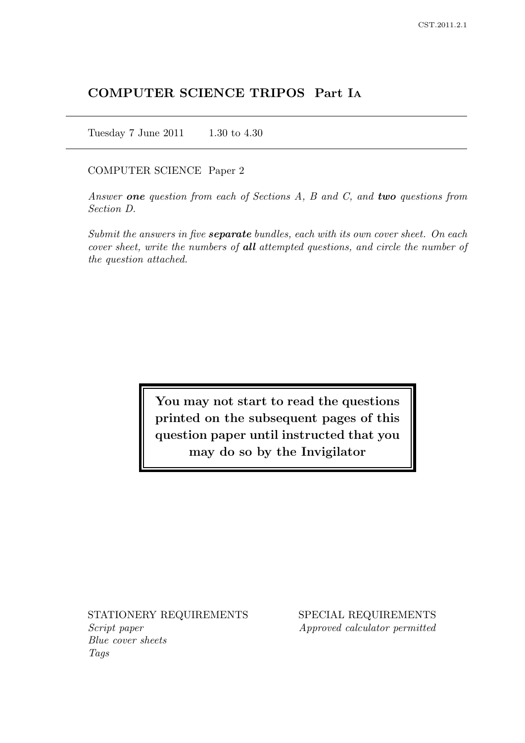# COMPUTER SCIENCE TRIPOS Part I<sup>A</sup>

Tuesday 7 June 2011 1.30 to 4.30

#### COMPUTER SCIENCE Paper 2

Answer one question from each of Sections A, B and C, and two questions from Section D.

Submit the answers in five **separate** bundles, each with its own cover sheet. On each cover sheet, write the numbers of all attempted questions, and circle the number of the question attached.

> You may not start to read the questions printed on the subsequent pages of this question paper until instructed that you may do so by the Invigilator

Script paper Approved calculator permitted Blue cover sheets Tags

STATIONERY REQUIREMENTS SPECIAL REQUIREMENTS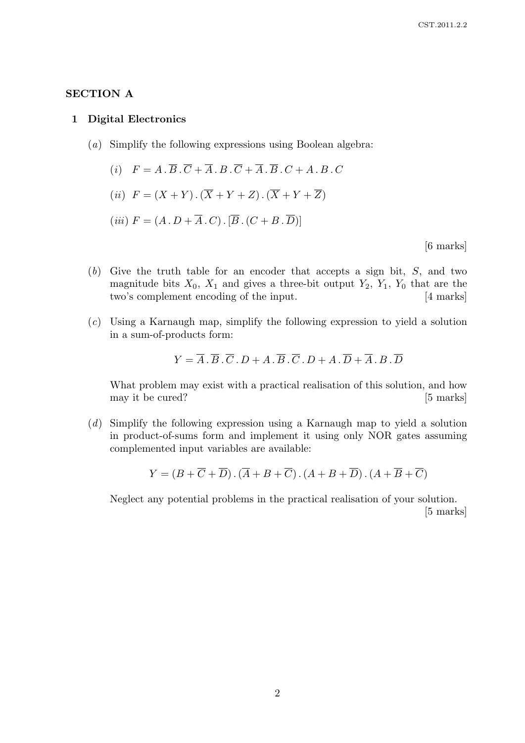# SECTION A

#### 1 Digital Electronics

- (a) Simplify the following expressions using Boolean algebra:
	- (i)  $F = A \cdot \overline{B} \cdot \overline{C} + \overline{A} \cdot B \cdot \overline{C} + \overline{A} \cdot \overline{B} \cdot C + A \cdot B \cdot C$
	- (ii)  $F = (X + Y) \cdot (\overline{X} + Y + Z) \cdot (\overline{X} + Y + \overline{Z})$

$$
(iii) F = (A \cdot D + \overline{A} \cdot C) \cdot [\overline{B} \cdot (C + B \cdot \overline{D})]
$$

[6 marks]

- (b) Give the truth table for an encoder that accepts a sign bit, S, and two magnitude bits  $X_0$ ,  $X_1$  and gives a three-bit output  $Y_2$ ,  $Y_1$ ,  $Y_0$  that are the two's complement encoding of the input. [4 marks]
- (c) Using a Karnaugh map, simplify the following expression to yield a solution in a sum-of-products form:

$$
Y = \overline{A} \cdot \overline{B} \cdot \overline{C} \cdot D + A \cdot \overline{B} \cdot \overline{C} \cdot D + A \cdot \overline{D} + \overline{A} \cdot B \cdot \overline{D}
$$

What problem may exist with a practical realisation of this solution, and how may it be cured? [5 marks]

(d) Simplify the following expression using a Karnaugh map to yield a solution in product-of-sums form and implement it using only NOR gates assuming complemented input variables are available:

$$
Y = (B + \overline{C} + \overline{D}).(\overline{A} + B + \overline{C}).(A + B + \overline{D}).(A + \overline{B} + \overline{C})
$$

Neglect any potential problems in the practical realisation of your solution. [5 marks]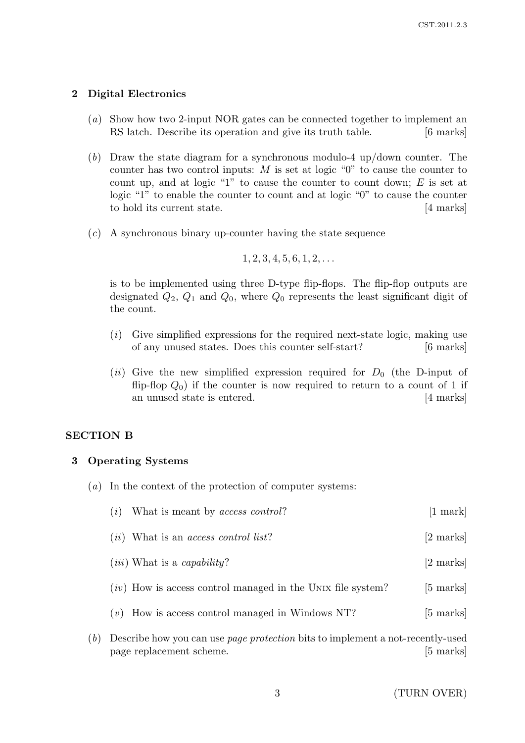# 2 Digital Electronics

- (a) Show how two 2-input NOR gates can be connected together to implement an RS latch. Describe its operation and give its truth table. [6 marks]
- (b) Draw the state diagram for a synchronous modulo-4 up/down counter. The counter has two control inputs: M is set at logic "0" to cause the counter to count up, and at logic "1" to cause the counter to count down;  $E$  is set at logic "1" to enable the counter to count and at logic "0" to cause the counter to hold its current state. [4 marks]
- (c) A synchronous binary up-counter having the state sequence

```
1, 2, 3, 4, 5, 6, 1, 2, \ldots
```
is to be implemented using three D-type flip-flops. The flip-flop outputs are designated  $Q_2$ ,  $Q_1$  and  $Q_0$ , where  $Q_0$  represents the least significant digit of the count.

- $(i)$  Give simplified expressions for the required next-state logic, making use of any unused states. Does this counter self-start? [6 marks]
- (ii) Give the new simplified expression required for  $D_0$  (the D-input of flip-flop  $Q_0$ ) if the counter is now required to return to a count of 1 if an unused state is entered. [4 marks]

#### SECTION B

#### 3 Operating Systems

(a) In the context of the protection of computer systems:

| $(i)$ What is meant by <i>access control</i> ?                                 | $[1 \text{ mark}]$  |
|--------------------------------------------------------------------------------|---------------------|
| $(ii)$ What is an <i>access control list</i> ?                                 | $[2 \text{ marks}]$ |
| $(iii)$ What is a <i>capability</i> ?                                          | [2 marks]           |
| $(iv)$ How is access control managed in the UNIX file system?                  | $[5 \text{ marks}]$ |
| $(v)$ How is access control managed in Windows NT?                             | $[5 \text{ marks}]$ |
| Doscribe how you can use nego protection bits to implement a not recently used |                     |

(b) Describe how you can use page protection bits to implement a not-recently-used page replacement scheme. [5 marks]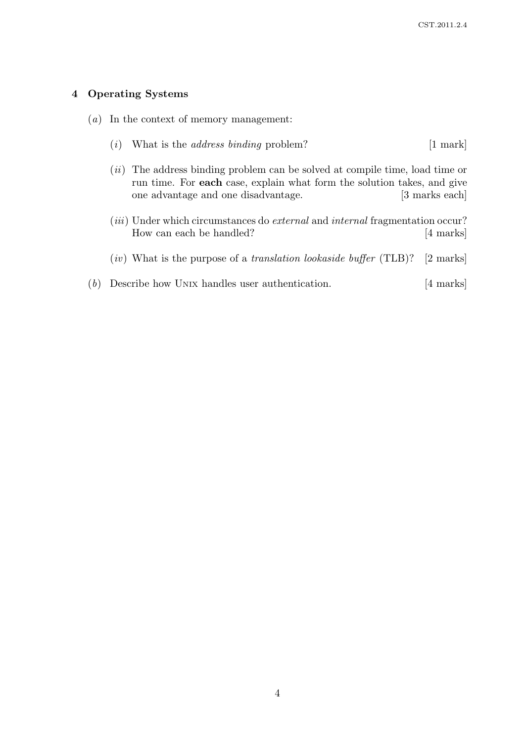# 4 Operating Systems

|  |  |  |  |  | $(a)$ In the context of memory management: |
|--|--|--|--|--|--------------------------------------------|
|--|--|--|--|--|--------------------------------------------|

- (*i*) What is the *address binding* problem?  $[1 \text{ mark}]$
- (*ii*) The address binding problem can be solved at compile time, load time or run time. For each case, explain what form the solution takes, and give one advantage and one disadvantage. [3 marks each]
- (*iii*) Under which circumstances do *external* and *internal* fragmentation occur? How can each be handled? [4 marks]
- (iv) What is the purpose of a translation lookaside buffer (TLB)? [2 marks]
- (b) Describe how UNIX handles user authentication. [4 marks]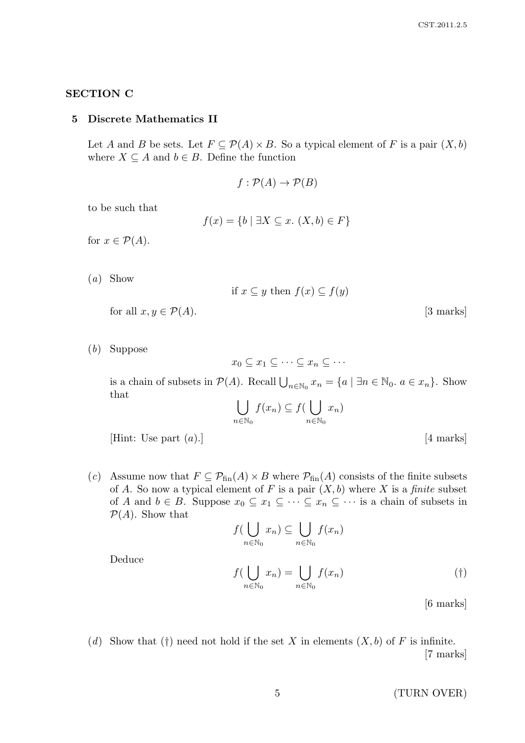# SECTION C

#### 5 Discrete Mathematics II

Let A and B be sets. Let  $F \subseteq \mathcal{P}(A) \times B$ . So a typical element of F is a pair  $(X, b)$ where  $X \subseteq A$  and  $b \in B$ . Define the function

$$
f:\mathcal{P}(A)\to\mathcal{P}(B)
$$

to be such that

$$
f(x) = \{b \mid \exists X \subseteq x. (X, b) \in F\}
$$

for  $x \in \mathcal{P}(A)$ .

(a) Show

if 
$$
x \subseteq y
$$
 then  $f(x) \subseteq f(y)$ 

for all  $x, y \in \mathcal{P}(A)$ . [3 marks]

(b) Suppose

Deduce

 $x_0 \subset x_1 \subset \cdots \subset x_n \subset \cdots$ 

is a chain of subsets in  $P(A)$ . Recall  $\bigcup_{n\in\mathbb{N}_0} x_n = \{a \mid \exists n \in \mathbb{N}_0, a \in x_n\}$ . Show that

$$
\bigcup_{n \in \mathbb{N}_0} f(x_n) \subseteq f(\bigcup_{n \in \mathbb{N}_0} x_n)
$$

[Hint: Use part  $(a)$ .] [4 marks]

(c) Assume now that  $F \subseteq \mathcal{P}_{fin}(A) \times B$  where  $\mathcal{P}_{fin}(A)$  consists of the finite subsets of A. So now a typical element of F is a pair  $(X, b)$  where X is a finite subset of A and  $b \in B$ . Suppose  $x_0 \subseteq x_1 \subseteq \cdots \subseteq x_n \subseteq \cdots$  is a chain of subsets in  $\mathcal{P}(A)$ . Show that

$$
f\left(\bigcup_{n \in \mathbb{N}_0} x_n\right) \subseteq \bigcup_{n \in \mathbb{N}_0} f(x_n)
$$

$$
f\left(\bigcup_{n \in \mathbb{N}_0} x_n\right) = \bigcup_{n \in \mathbb{N}_0} f(x_n)
$$

$$
(†)
$$

[6 marks]

(d) Show that (†) need not hold if the set X in elements  $(X, b)$  of F is infinite. [7 marks]

5 (TURN OVER)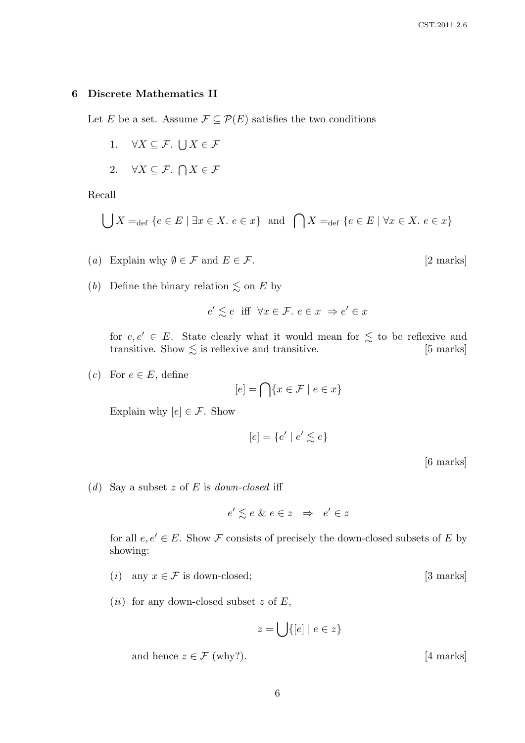#### 6 Discrete Mathematics II

Let E be a set. Assume  $\mathcal{F} \subseteq \mathcal{P}(E)$  satisfies the two conditions

- 1.  $\forall X \subseteq \mathcal{F}$ .  $\bigcup X \in \mathcal{F}$
- 2.  $\forall X \subseteq \mathcal{F}. \bigcap X \in \mathcal{F}$

Recall

$$
\bigcup X =_{\text{def}} \{ e \in E \mid \exists x \in X. \ e \in x \} \text{ and } \bigcap X =_{\text{def}} \{ e \in E \mid \forall x \in X. \ e \in x \}
$$

- (a) Explain why  $\emptyset \in \mathcal{F}$  and  $E \in \mathcal{F}$ . [2 marks]
- (*b*) Define the binary relation  $\lesssim$  on E by

$$
e' \lesssim e \quad \text{iff} \quad \forall x \in \mathcal{F}, \ e \in x \ \Rightarrow e' \in x
$$

for  $e, e' \in E$ . State clearly what it would mean for  $\leq$  to be reflexive and transitive. Show  $\lesssim$  is reflexive and transitive. [5 marks]

(c) For  $e \in E$ , define

$$
[e] = \bigcap \{ x \in \mathcal{F} \mid e \in x \}
$$

Explain why  $[e] \in \mathcal{F}$ . Show

$$
[e]=\{e'\mid e'\lesssim e\}
$$

[6 marks]

(d) Say a subset z of E is down-closed iff

 $e' \lesssim e \& e \in z \Rightarrow e' \in z$ 

for all  $e, e' \in E$ . Show F consists of precisely the down-closed subsets of E by showing:

- (i) any  $x \in \mathcal{F}$  is down-closed; [3 marks]
- (*ii*) for any down-closed subset z of  $E$ ,

$$
z = \bigcup \{ [e] \mid e \in z \}
$$

and hence  $z \in \mathcal{F}$  (why?). [4 marks]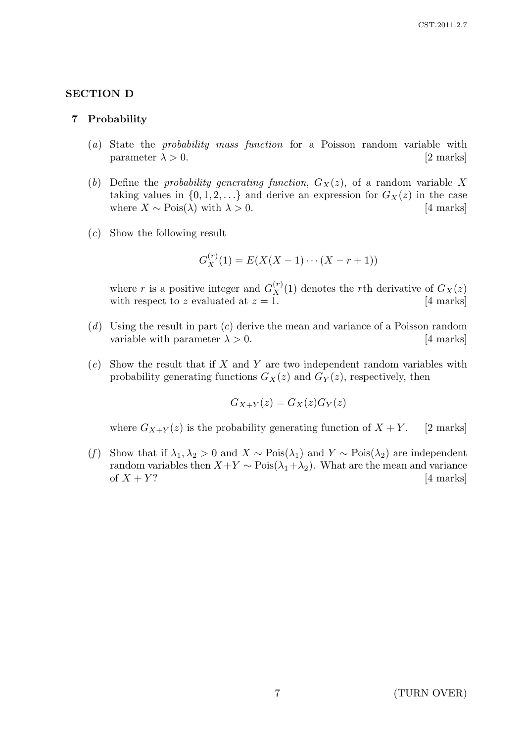# SECTION D

#### 7 Probability

- (a) State the probability mass function for a Poisson random variable with parameter  $\lambda > 0$ . [2 marks]
- (b) Define the probability generating function,  $G_X(z)$ , of a random variable X taking values in  $\{0, 1, 2, \ldots\}$  and derive an expression for  $G_X(z)$  in the case where  $X \sim \text{Pois}(\lambda)$  with  $\lambda > 0$ . [4 marks]
- (c) Show the following result

$$
G_X^{(r)}(1) = E(X(X-1)\cdots(X-r+1))
$$

where r is a positive integer and  $G_X^{(r)}(1)$  denotes the rth derivative of  $G_X(z)$ with respect to z evaluated at  $z = 1$ . [4 marks]

- $(d)$  Using the result in part  $(c)$  derive the mean and variance of a Poisson random variable with parameter  $\lambda > 0$ . [4 marks]
- $(e)$  Show the result that if X and Y are two independent random variables with probability generating functions  $G_X(z)$  and  $G_Y(z)$ , respectively, then

$$
G_{X+Y}(z) = G_X(z)G_Y(z)
$$

where  $G_{X+Y}(z)$  is the probability generating function of  $X+Y$ . [2 marks]

(f) Show that if  $\lambda_1, \lambda_2 > 0$  and  $X \sim \text{Pois}(\lambda_1)$  and  $Y \sim \text{Pois}(\lambda_2)$  are independent random variables then  $X+Y \sim \text{Pois}(\lambda_1 + \lambda_2)$ . What are the mean and variance of  $X + Y$ ? [4 marks]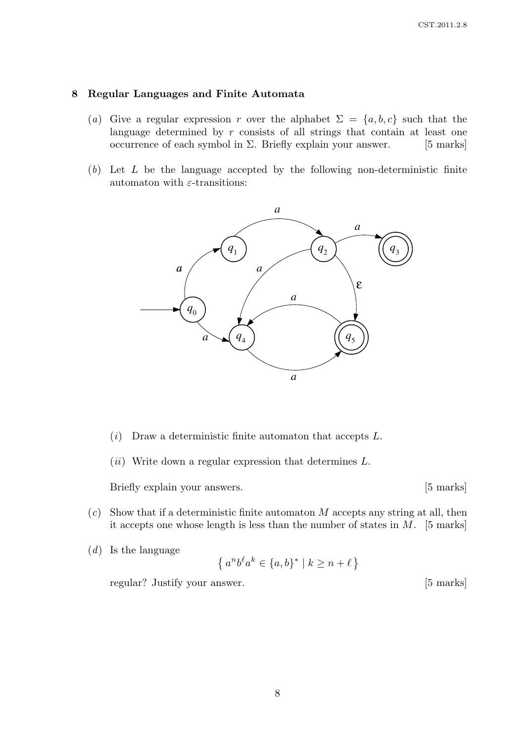#### 8 Regular Languages and Finite Automata

- (a) Give a regular expression r over the alphabet  $\Sigma = \{a, b, c\}$  such that the language determined by  $r$  consists of all strings that contain at least one occurrence of each symbol in  $\Sigma$ . Briefly explain your answer. [5 marks]
- $(b)$  Let L be the language accepted by the following non-deterministic finite automaton with  $\varepsilon$ -transitions:



- $(i)$  Draw a deterministic finite automaton that accepts L.
- (ii) Write down a regular expression that determines  $L$ .

Briefly explain your answers. [5 marks]

- $(c)$  Show that if a deterministic finite automaton M accepts any string at all, then it accepts one whose length is less than the number of states in  $M$ . [5 marks]
- $(d)$  Is the language

$$
\{a^n b^\ell a^k \in \{a, b\}^* \mid k \ge n + \ell\}
$$

regular? Justify your answer. [5 marks]